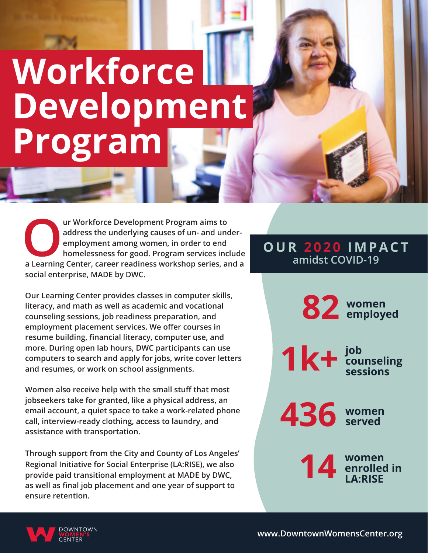# **Workforce Development Program**

**Our Workforce Development Program aims to address the underlying causes of un- and underemployment among women, in order to end homelessness for good. Program services include a Learning Center, career readiness workshop series, and a social enterprise, MADE by DWC.**

**Our Learning Center provides classes in computer skills, literacy, and math as well as academic and vocational counseling sessions, job readiness preparation, and employment placement services. We offer courses in resume building, financial literacy, computer use, and more. During open lab hours, DWC participants can use computers to search and apply for jobs, write cover letters and resumes, or work on school assignments.**

**Women also receive help with the small stuff that most jobseekers take for granted, like a physical address, an email account, a quiet space to take a work-related phone call, interview-ready clothing, access to laundry, and assistance with transportation.**

**Through support from the City and County of Los Angeles' Regional Initiative for Social Enterprise (LA:RISE), we also provide paid transitional employment at MADE by DWC, as well as final job placement and one year of support to ensure retention.**

#### **OUR 2020 IMPACT amidst COVID-19**

**82 women employed 436 women served 14 women enrolled in LA:RISE**  $1k+$   $\frac{1}{2}$   $\frac{1}{2}$   $\frac{1}{2}$ **counseling sessions**